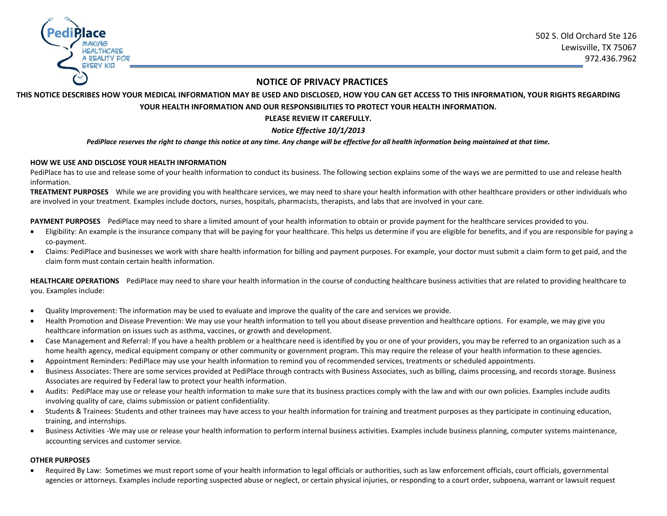

## **NOTICE OF PRIVACY PRACTICES**

# **THIS NOTICE DESCRIBES HOW YOUR MEDICAL INFORMATION MAY BE USED AND DISCLOSED, HOW YOU CAN GET ACCESS TO THIS INFORMATION, YOUR RIGHTS REGARDING YOUR HEALTH INFORMATION AND OUR RESPONSIBILITIES TO PROTECT YOUR HEALTH INFORMATION.**

## **PLEASE REVIEW IT CAREFULLY.**

## *Notice Effective 10/1/2013*

#### *PediPlace reserves the right to change this notice at any time. Any change will be effective for all health information being maintained at that time.*

#### **HOW WE USE AND DISCLOSE YOUR HEALTH INFORMATION**

PediPlace has to use and release some of your health information to conduct its business. The following section explains some of the ways we are permitted to use and release health information.

**TREATMENT PURPOSES** While we are providing you with healthcare services, we may need to share your health information with other healthcare providers or other individuals who are involved in your treatment. Examples include doctors, nurses, hospitals, pharmacists, therapists, and labs that are involved in your care.

**PAYMENT PURPOSES** PediPlace may need to share a limited amount of your health information to obtain or provide payment for the healthcare services provided to you.

- Eligibility: An example is the insurance company that will be paying for your healthcare. This helps us determine if you are eligible for benefits, and if you are responsible for paying a co-payment.
- Claims: PediPlace and businesses we work with share health information for billing and payment purposes. For example, your doctor must submit a claim form to get paid, and the claim form must contain certain health information.

**HEALTHCARE OPERATIONS** PediPlace may need to share your health information in the course of conducting healthcare business activities that are related to providing healthcare to you. Examples include:

- Quality Improvement: The information may be used to evaluate and improve the quality of the care and services we provide.
- Health Promotion and Disease Prevention: We may use your health information to tell you about disease prevention and healthcare options. For example, we may give you healthcare information on issues such as asthma, vaccines, or growth and development.
- Case Management and Referral: If you have a health problem or a healthcare need is identified by you or one of your providers, you may be referred to an organization such as a home health agency, medical equipment company or other community or government program. This may require the release of your health information to these agencies.
- Appointment Reminders: PediPlace may use your health information to remind you of recommended services, treatments or scheduled appointments.
- Business Associates: There are some services provided at PediPlace through contracts with Business Associates, such as billing, claims processing, and records storage. Business Associates are required by Federal law to protect your health information.
- Audits: PediPlace may use or release your health information to make sure that its business practices comply with the law and with our own policies. Examples include audits involving quality of care, claims submission or patient confidentiality.
- Students & Trainees: Students and other trainees may have access to your health information for training and treatment purposes as they participate in continuing education, training, and internships.
- Business Activities -We may use or release your health information to perform internal business activities. Examples include business planning, computer systems maintenance, accounting services and customer service.

#### **OTHER PURPOSES**

 Required By Law: Sometimes we must report some of your health information to legal officials or authorities, such as law enforcement officials, court officials, governmental agencies or attorneys. Examples include reporting suspected abuse or neglect, or certain physical injuries, or responding to a court order, subpoena, warrant or lawsuit request